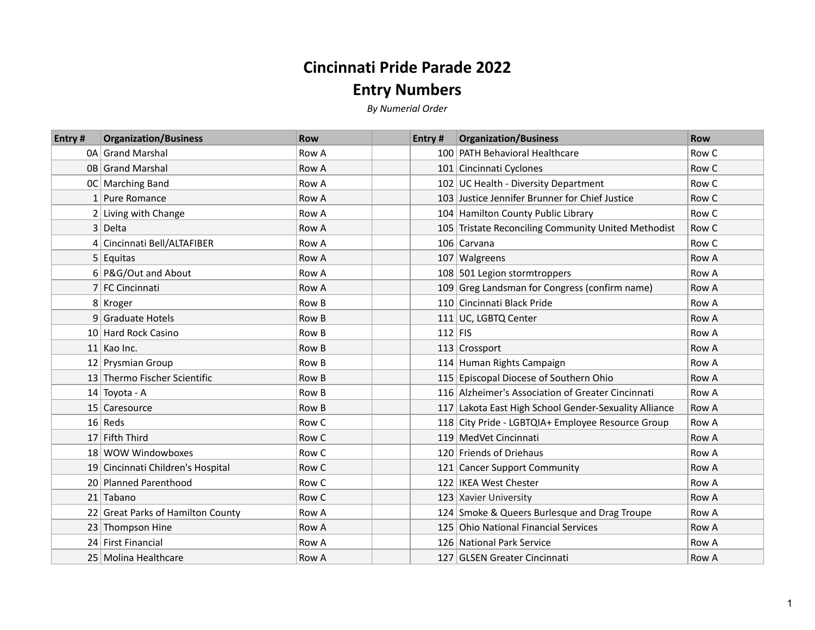## **Cincinnati Pride Parade 2022**

## **Entry Numbers**

*By Numerial Order*

| <b>Entry#</b> | <b>Organization/Business</b>      | <b>Row</b> | Entry # | <b>Organization/Business</b>                          | <b>Row</b> |
|---------------|-----------------------------------|------------|---------|-------------------------------------------------------|------------|
|               | 0A Grand Marshal                  | Row A      |         | 100 PATH Behavioral Healthcare                        | Row C      |
|               | 0B Grand Marshal                  | Row A      |         | 101 Cincinnati Cyclones                               | Row C      |
|               | OC Marching Band                  | Row A      |         | 102 UC Health - Diversity Department                  | Row C      |
|               | 1 Pure Romance                    | Row A      |         | 103 Justice Jennifer Brunner for Chief Justice        | Row C      |
|               | 2 Living with Change              | Row A      |         | 104 Hamilton County Public Library                    | Row C      |
|               | 3 Delta                           | Row A      |         | 105 Tristate Reconciling Community United Methodist   | Row C      |
|               | 4 Cincinnati Bell/ALTAFIBER       | Row A      |         | 106 Carvana                                           | Row C      |
|               | $5$ Equitas                       | Row A      |         | 107 Walgreens                                         | Row A      |
|               | 6 P&G/Out and About               | Row A      |         | 108 501 Legion stormtroppers                          | Row A      |
|               | 7 FC Cincinnati                   | Row A      |         | 109 Greg Landsman for Congress (confirm name)         | Row A      |
|               | 8 Kroger                          | Row B      |         | 110 Cincinnati Black Pride                            | Row A      |
|               | 9 Graduate Hotels                 | Row B      |         | 111 UC, LGBTQ Center                                  | Row A      |
|               | 10 Hard Rock Casino               | Row B      |         | $112$ FIS                                             | Row A      |
|               | $11$ Kao Inc.                     | Row B      |         | 113 $Crossport$                                       | Row A      |
|               | 12 Prysmian Group                 | Row B      |         | 114 Human Rights Campaign                             | Row A      |
|               | 13 Thermo Fischer Scientific      | Row B      |         | 115 Episcopal Diocese of Southern Ohio                | Row A      |
|               | 14 Toyota - A                     | Row B      |         | 116 Alzheimer's Association of Greater Cincinnati     | Row A      |
|               | 15 Caresource                     | Row B      |         | 117 Lakota East High School Gender-Sexuality Alliance | Row A      |
|               | $16$ Reds                         | Row C      |         | 118 City Pride - LGBTQIA+ Employee Resource Group     | Row A      |
|               | 17 Fifth Third                    | Row C      |         | 119 MedVet Cincinnati                                 | Row A      |
|               | 18 WOW Windowboxes                | Row C      |         | 120 Friends of Driehaus                               | Row A      |
|               | 19 Cincinnati Children's Hospital | Row C      |         | 121 Cancer Support Community                          | Row A      |
|               | 20 Planned Parenthood             | Row C      |         | 122 IKEA West Chester                                 | Row A      |
|               | 21 Tabano                         | Row C      |         | 123 Xavier University                                 | Row A      |
|               | 22 Great Parks of Hamilton County | Row A      |         | 124 Smoke & Queers Burlesque and Drag Troupe          | Row A      |
|               | 23 Thompson Hine                  | Row A      |         | 125 Ohio National Financial Services                  | Row A      |
|               | 24 First Financial                | Row A      |         | 126 National Park Service                             | Row A      |
|               | 25   Molina Healthcare            | Row A      |         | 127 GLSEN Greater Cincinnati                          | Row A      |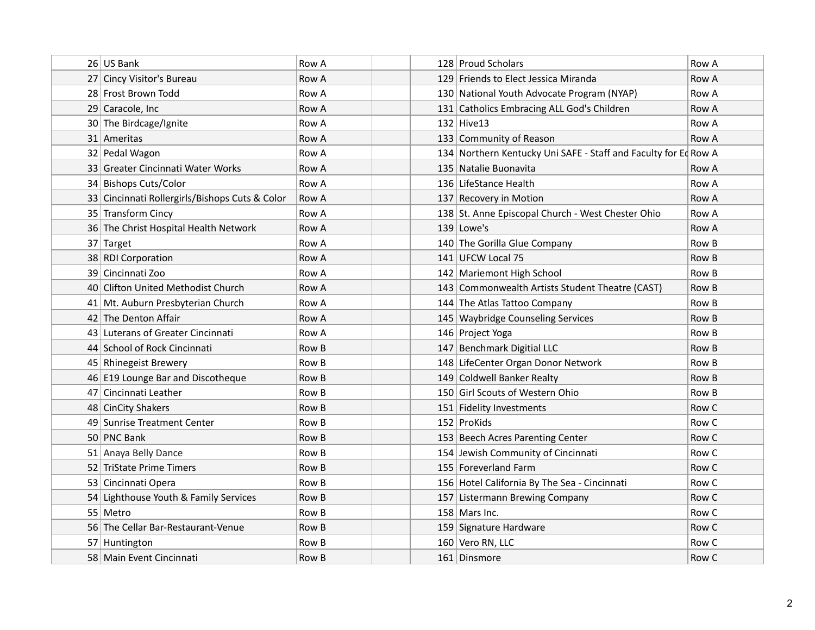| 26 US Bank                                     | Row A |  | 128 Proud Scholars                                              | <b>Row A</b> |
|------------------------------------------------|-------|--|-----------------------------------------------------------------|--------------|
| 27 Cincy Visitor's Bureau                      | Row A |  | 129 Friends to Elect Jessica Miranda                            | Row A        |
| 28 Frost Brown Todd                            | Row A |  | 130 National Youth Advocate Program (NYAP)                      | Row A        |
| 29 Caracole, Inc                               | Row A |  | 131 Catholics Embracing ALL God's Children                      | Row A        |
| 30 The Birdcage/Ignite                         | Row A |  | $132$ Hive 13                                                   | Row A        |
| 31   Ameritas                                  | Row A |  | 133 Community of Reason                                         | Row A        |
| 32 Pedal Wagon                                 | Row A |  | 134 Northern Kentucky Uni SAFE - Staff and Faculty for Ed Row A |              |
| 33 Greater Cincinnati Water Works              | Row A |  | 135 Natalie Buonavita                                           | Row A        |
| 34 Bishops Cuts/Color                          | Row A |  | 136 LifeStance Health                                           | Row A        |
| 33 Cincinnati Rollergirls/Bishops Cuts & Color | Row A |  | 137 Recovery in Motion                                          | Row A        |
| 35 Transform Cincy                             | Row A |  | 138 St. Anne Episcopal Church - West Chester Ohio               | Row A        |
| 36 The Christ Hospital Health Network          | Row A |  | $139$ Lowe's                                                    | Row A        |
| 37 Target                                      | Row A |  | 140 The Gorilla Glue Company                                    | Row B        |
| 38 RDI Corporation                             | Row A |  | 141 UFCW Local 75                                               | Row B        |
| 39   Cincinnati Zoo                            | Row A |  | 142 Mariemont High School                                       | Row B        |
| 40 Clifton United Methodist Church             | Row A |  | 143 Commonwealth Artists Student Theatre (CAST)                 | Row B        |
| 41 Mt. Auburn Presbyterian Church              | Row A |  | 144 The Atlas Tattoo Company                                    | Row B        |
| 42 The Denton Affair                           | Row A |  | 145 Waybridge Counseling Services                               | Row B        |
| 43 Luterans of Greater Cincinnati              | Row A |  | 146 Project Yoga                                                | Row B        |
| 44 School of Rock Cincinnati                   | Row B |  | 147 Benchmark Digitial LLC                                      | Row B        |
| 45 Rhinegeist Brewery                          | Row B |  | 148 LifeCenter Organ Donor Network                              | Row B        |
| 46 E19 Lounge Bar and Discotheque              | Row B |  | 149 Coldwell Banker Realty                                      | Row B        |
| 47   Cincinnati Leather                        | Row B |  | 150 Girl Scouts of Western Ohio                                 | Row B        |
| 48 CinCity Shakers                             | Row B |  | 151 Fidelity Investments                                        | Row C        |
| 49 Sunrise Treatment Center                    | Row B |  | 152 ProKids                                                     | Row C        |
| 50 PNC Bank                                    | Row B |  | 153 Beech Acres Parenting Center                                | Row C        |
| 51 Anaya Belly Dance                           | Row B |  | 154 Jewish Community of Cincinnati                              | Row C        |
| 52 TriState Prime Timers                       | Row B |  | 155 Foreverland Farm                                            | Row C        |
| 53 Cincinnati Opera                            | Row B |  | 156 Hotel California By The Sea - Cincinnati                    | Row C        |
| 54 Lighthouse Youth & Family Services          | Row B |  | 157 Listermann Brewing Company                                  | Row C        |
| 55   Metro                                     | Row B |  | $158$ Mars Inc.                                                 | Row C        |
| 56 The Cellar Bar-Restaurant-Venue             | Row B |  | 159 Signature Hardware                                          | Row C        |
| 57 Huntington                                  | Row B |  | 160 Vero RN, LLC                                                | Row C        |
| 58   Main Event Cincinnati                     | Row B |  | 161 Dinsmore                                                    | Row C        |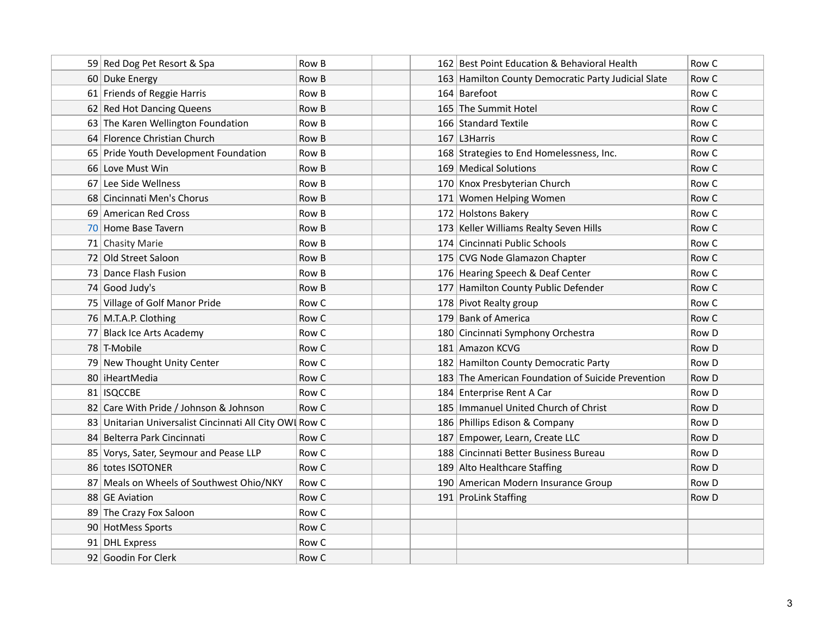| 59 Red Dog Pet Resort & Spa                             | Row B | 162 Best Point Education & Behavioral Health        | Row C |
|---------------------------------------------------------|-------|-----------------------------------------------------|-------|
| 60 Duke Energy                                          | Row B | 163 Hamilton County Democratic Party Judicial Slate | Row C |
| 61 Friends of Reggie Harris                             | Row B | 164 Barefoot                                        | Row C |
| 62 Red Hot Dancing Queens                               | Row B | 165 The Summit Hotel                                | Row C |
| 63 The Karen Wellington Foundation                      | Row B | 166 Standard Textile                                | Row C |
| 64 Florence Christian Church                            | Row B | $167$ L3Harris                                      | Row C |
| 65 Pride Youth Development Foundation                   | Row B | 168 Strategies to End Homelessness, Inc.            | Row C |
| 66 Love Must Win                                        | Row B | 169 Medical Solutions                               | Row C |
| 67 Lee Side Wellness                                    | Row B | 170 Knox Presbyterian Church                        | Row C |
| 68 Cincinnati Men's Chorus                              | Row B | 171 Women Helping Women                             | Row C |
| 69 American Red Cross                                   | Row B | 172 Holstons Bakery                                 | Row C |
| 70 Home Base Tavern                                     | Row B | 173 Keller Williams Realty Seven Hills              | Row C |
| 71 Chasity Marie                                        | Row B | 174 Cincinnati Public Schools                       | Row C |
| 72 Old Street Saloon                                    | Row B | 175 CVG Node Glamazon Chapter                       | Row C |
| 73 Dance Flash Fusion                                   | Row B | 176 Hearing Speech & Deaf Center                    | Row C |
| 74 Good Judy's                                          | Row B | 177 Hamilton County Public Defender                 | Row C |
| 75 Village of Golf Manor Pride                          | Row C | 178 Pivot Realty group                              | Row C |
| 76 M.T.A.P. Clothing                                    | Row C | 179 Bank of America                                 | Row C |
| 77 Black Ice Arts Academy                               | Row C | 180 Cincinnati Symphony Orchestra                   | Row D |
| 78 T-Mobile                                             | Row C | 181 Amazon KCVG                                     | Row D |
| 79 New Thought Unity Center                             | Row C | 182 Hamilton County Democratic Party                | Row D |
| 80   iHeartMedia                                        | Row C | 183 The American Foundation of Suicide Prevention   | Row D |
| 81   ISQCCBE                                            | Row C | 184 Enterprise Rent A Car                           | Row D |
| 82 Care With Pride / Johnson & Johnson                  | Row C | 185   Immanuel United Church of Christ              | Row D |
| 83 Unitarian Universalist Cincinnati All City OWI Row C |       | 186 Phillips Edison & Company                       | Row D |
| 84 Belterra Park Cincinnati                             | Row C | 187 Empower, Learn, Create LLC                      | Row D |
| 85 Vorys, Sater, Seymour and Pease LLP                  | Row C | 188 Cincinnati Better Business Bureau               | Row D |
| 86 totes ISOTONER                                       | Row C | 189 Alto Healthcare Staffing                        | Row D |
| 87 Meals on Wheels of Southwest Ohio/NKY                | Row C | 190 American Modern Insurance Group                 | Row D |
| 88 GE Aviation                                          | Row C | 191 ProLink Staffing                                | Row D |
| 89 The Crazy Fox Saloon                                 | Row C |                                                     |       |
| 90 HotMess Sports                                       | Row C |                                                     |       |
| 91 DHL Express                                          | Row C |                                                     |       |
| 92 Goodin For Clerk                                     | Row C |                                                     |       |